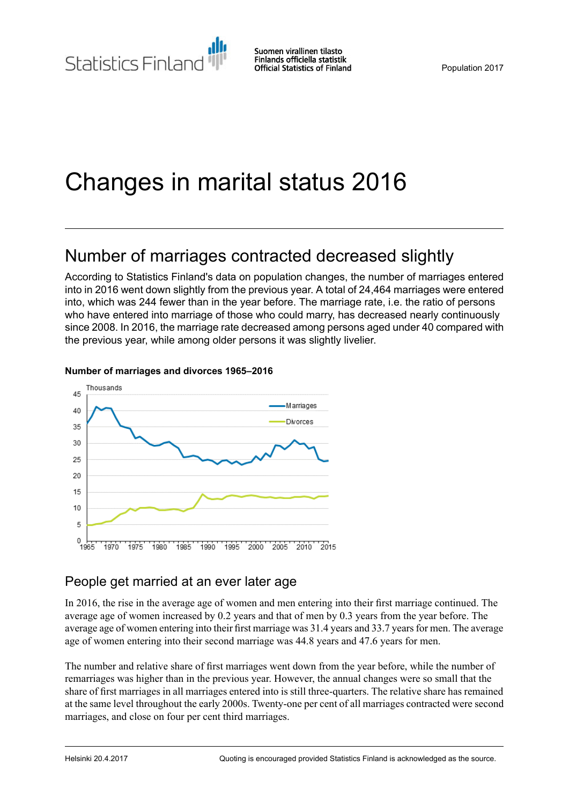Statistics Finland

Suomen virallinen tilasto Finlands officiella statistik **Official Statistics of Finland** 

# Changes in marital status 2016

## Number of marriages contracted decreased slightly

According to Statistics Finland's data on population changes, the number of marriages entered into in 2016 went down slightly from the previous year. A total of 24,464 marriages were entered into, which was 244 fewer than in the year before. The marriage rate, i.e. the ratio of persons who have entered into marriage of those who could marry, has decreased nearly continuously since 2008. In 2016, the marriage rate decreased among persons aged under 40 compared with the previous year, while among older persons it was slightly livelier.



#### **Number of marriages and divorces 1965–2016**

### People get married at an ever later age

In 2016, the rise in the average age of women and men entering into their first marriage continued. The average age of women increased by 0.2 years and that of men by 0.3 years from the year before. The average age of women entering into their first marriage was 31.4 years and 33.7 years for men. The average age of women entering into their second marriage was 44.8 years and 47.6 years for men.

The number and relative share of first marriages went down from the year before, while the number of remarriages was higher than in the previous year. However, the annual changes were so small that the share of first marriages in all marriages entered into is still three-quarters. The relative share has remained at the same level throughout the early 2000s. Twenty-one per cent of all marriages contracted were second marriages, and close on four per cent third marriages.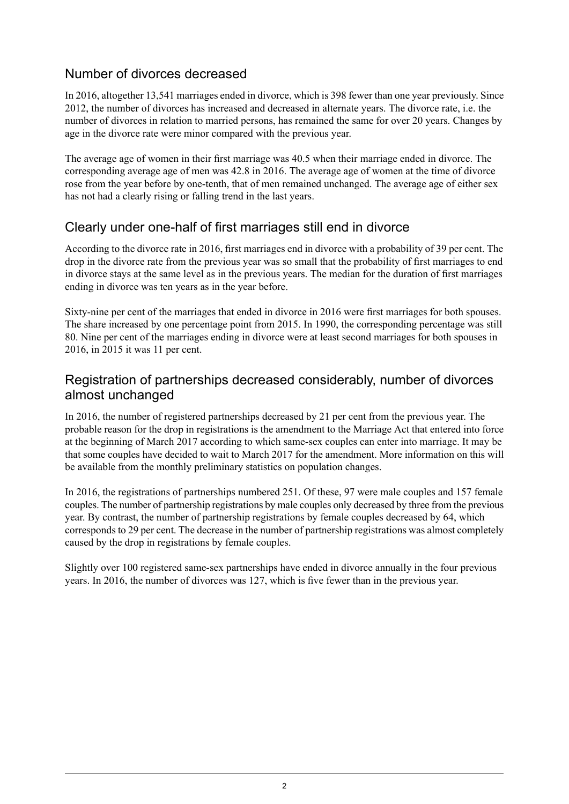## Number of divorces decreased

In 2016, altogether 13,541 marriages ended in divorce, which is 398 fewer than one year previously. Since 2012, the number of divorces has increased and decreased in alternate years. The divorce rate, i.e. the number of divorces in relation to married persons, has remained the same for over 20 years. Changes by age in the divorce rate were minor compared with the previous year.

The average age of women in their first marriage was 40.5 when their marriage ended in divorce. The corresponding average age of men was 42.8 in 2016. The average age of women at the time of divorce rose from the year before by one-tenth, that of men remained unchanged. The average age of either sex has not had a clearly rising or falling trend in the last years.

## Clearly under one-half of first marriages still end in divorce

According to the divorce rate in 2016, first marriages end in divorce with a probability of 39 per cent. The drop in the divorce rate from the previous year was so small that the probability of first marriages to end in divorce stays at the same level as in the previous years. The median for the duration of first marriages ending in divorce was ten years as in the year before.

Sixty-nine per cent of the marriages that ended in divorce in 2016 were first marriages for both spouses. The share increased by one percentage point from 2015. In 1990, the corresponding percentage was still 80. Nine per cent of the marriages ending in divorce were at least second marriages for both spouses in 2016, in 2015 it was 11 per cent.

### Registration of partnerships decreased considerably, number of divorces almost unchanged

In 2016, the number of registered partnerships decreased by 21 per cent from the previous year. The probable reason for the drop in registrations is the amendment to the Marriage Act that entered into force at the beginning of March 2017 according to which same-sex couples can enter into marriage. It may be that some couples have decided to wait to March 2017 for the amendment. More information on this will be available from the monthly preliminary statistics on population changes.

In 2016, the registrations of partnerships numbered 251. Of these, 97 were male couples and 157 female couples. The number of partnership registrations by male couples only decreased by three from the previous year. By contrast, the number of partnership registrations by female couples decreased by 64, which corresponds to 29 per cent. The decrease in the number of partnership registrations was almost completely caused by the drop in registrations by female couples.

Slightly over 100 registered same-sex partnerships have ended in divorce annually in the four previous years. In 2016, the number of divorces was 127, which is five fewer than in the previous year.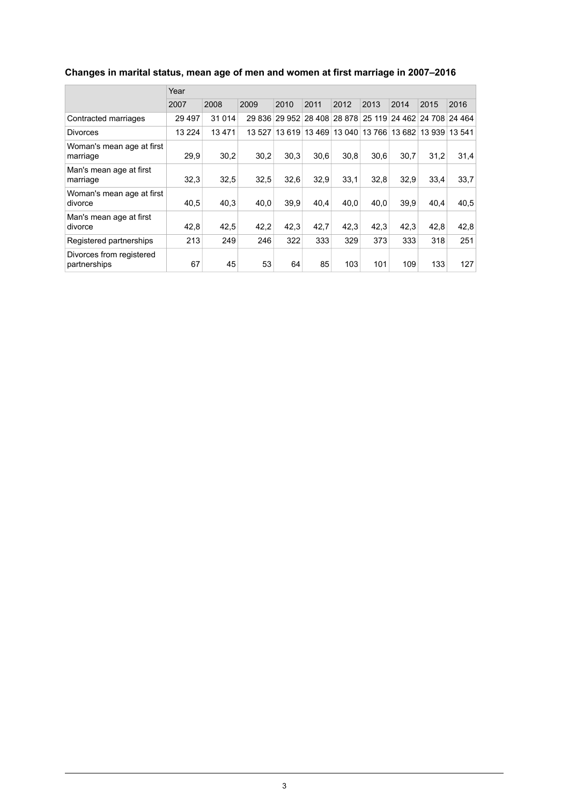|                                          | Year     |         |        |                                    |       |      |      |      |      |                                    |  |
|------------------------------------------|----------|---------|--------|------------------------------------|-------|------|------|------|------|------------------------------------|--|
|                                          | 2007     | 2008    | 2009   | 2010                               | 2011  | 2012 | 2013 | 2014 | 2015 | 2016                               |  |
| Contracted marriages                     | 29 4 9 7 | 31 0 14 |        | 29 836 29 952 28 408 28 878 25 119 |       |      |      |      |      | 24 462 24 708 24 464               |  |
| <b>Divorces</b>                          | 13 2 24  | 13471   | 13.527 | 13619                              | 13469 |      |      |      |      | 13 040 13 766 13 682 13 939 13 541 |  |
| Woman's mean age at first<br>marriage    | 29,9     | 30,2    | 30,2   | 30.3                               | 30.6  | 30,8 | 30.6 | 30,7 | 31,2 | 31,4                               |  |
| Man's mean age at first<br>marriage      | 32.3     | 32,5    | 32,5   | 32,6                               | 32,9  | 33,1 | 32,8 | 32.9 | 33,4 | 33.7                               |  |
| Woman's mean age at first<br>divorce     | 40,5     | 40,3    | 40,0   | 39.9                               | 40.4  | 40.0 | 40,0 | 39.9 | 40.4 | 40,5                               |  |
| Man's mean age at first<br>divorce       | 42,8     | 42,5    | 42,2   | 42.3                               | 42,7  | 42,3 | 42.3 | 42.3 | 42,8 | 42,8                               |  |
| Registered partnerships                  | 213      | 249     | 246    | 322                                | 333   | 329  | 373  | 333  | 318  | 251                                |  |
| Divorces from registered<br>partnerships | 67       | 45      | 53     | 64                                 | 85    | 103  | 101  | 109  | 133  | 127                                |  |

## **Changes in marital status, mean age of men and women at first marriage in 2007–2016**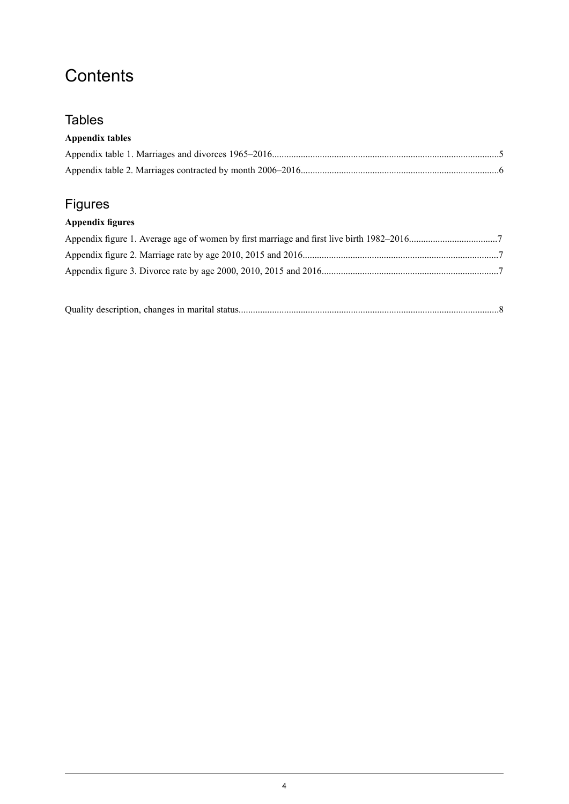## **Contents**

## **Tables**

### **Appendix tables**

## Figures

## **Appendix figures**

|--|--|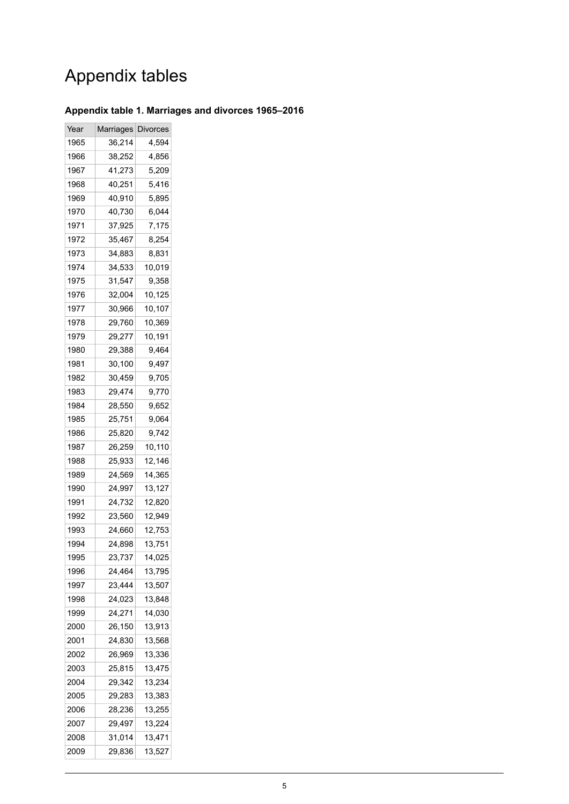## Appendix tables

#### <span id="page-4-0"></span>**Appendix table 1. Marriages and divorces 1965–2016**

| Year | Marriages | <b>Divorces</b> |
|------|-----------|-----------------|
| 1965 | 36,214    | 4,594           |
| 1966 | 38,252    | 4,856           |
| 1967 | 41,273    | 5,209           |
| 1968 | 40,251    | 5,416           |
| 1969 | 40,910    | 5,895           |
| 1970 | 40,730    | 6,044           |
| 1971 | 37,925    | 7,175           |
| 1972 | 35,467    | 8,254           |
| 1973 | 34,883    | 8,831           |
| 1974 | 34,533    | 10,019          |
| 1975 | 31,547    | 9,358           |
| 1976 | 32,004    | 10,125          |
| 1977 | 30,966    | 10,107          |
| 1978 | 29,760    | 10,369          |
| 1979 | 29,277    | 10,191          |
| 1980 | 29,388    | 9,464           |
| 1981 | 30,100    | 9,497           |
| 1982 | 30,459    | 9,705           |
| 1983 | 29,474    | 9,770           |
| 1984 | 28,550    | 9,652           |
| 1985 | 25,751    | 9,064           |
| 1986 | 25,820    | 9,742           |
| 1987 | 26,259    | 10,110          |
| 1988 | 25,933    | 12,146          |
| 1989 | 24,569    | 14,365          |
| 1990 | 24,997    | 13,127          |
| 1991 | 24,732    | 12,820          |
| 1992 | 23,560    | 12,949          |
| 1993 | 24,660    | 12,753          |
| 1994 | 24,898    | 13,751          |
| 1995 | 23,737    | 14,025          |
| 1996 | 24,464    | 13,795          |
| 1997 | 23,444    | 13,507          |
| 1998 | 24,023    | 13,848          |
| 1999 | 24,271    | 14,030          |
| 2000 | 26,150    | 13,913          |
| 2001 | 24,830    | 13,568          |
| 2002 | 26,969    | 13,336          |
| 2003 | 25,815    | 13,475          |
| 2004 | 29,342    | 13,234          |
| 2005 | 29,283    | 13,383          |
| 2006 | 28,236    | 13,255          |
| 2007 | 29,497    | 13,224          |
| 2008 | 31,014    | 13,471          |
| 2009 | 29,836    | 13,527          |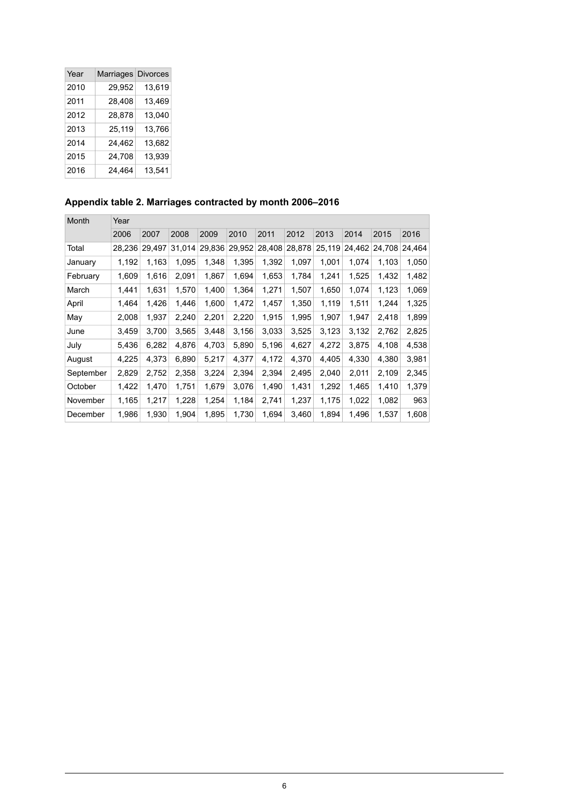| Year | Marriages Divorces |        |
|------|--------------------|--------|
| 2010 | 29,952             | 13,619 |
| 2011 | 28,408             | 13,469 |
| 2012 | 28,878             | 13,040 |
| 2013 | 25,119             | 13,766 |
| 2014 | 24,462             | 13,682 |
| 2015 | 24,708             | 13,939 |
| 2016 | 24,464             | 13,541 |

#### <span id="page-5-0"></span>**Appendix table 2. Marriages contracted by month 2006–2016**

| Month     | Year   |        |        |        |        |        |        |        |        |        |        |
|-----------|--------|--------|--------|--------|--------|--------|--------|--------|--------|--------|--------|
|           | 2006   | 2007   | 2008   | 2009   | 2010   | 2011   | 2012   | 2013   | 2014   | 2015   | 2016   |
| Total     | 28,236 | 29,497 | 31,014 | 29,836 | 29,952 | 28,408 | 28,878 | 25,119 | 24,462 | 24,708 | 24,464 |
| January   | 1,192  | 1,163  | 1,095  | 1,348  | 1,395  | 1,392  | 1,097  | 1,001  | 1,074  | 1,103  | 1,050  |
| February  | 1,609  | 1,616  | 2,091  | 1,867  | 1,694  | 1,653  | 1,784  | 1,241  | 1,525  | 1,432  | 1,482  |
| March     | 1,441  | 1,631  | 1,570  | 1,400  | 1,364  | 1,271  | 1,507  | 1,650  | 1,074  | 1,123  | 1,069  |
| April     | 1,464  | 1,426  | 1,446  | 1,600  | 1,472  | 1,457  | 1,350  | 1,119  | 1,511  | 1,244  | 1,325  |
| May       | 2,008  | 1,937  | 2,240  | 2,201  | 2,220  | 1,915  | 1,995  | 1,907  | 1,947  | 2,418  | 1,899  |
| June      | 3,459  | 3,700  | 3,565  | 3,448  | 3,156  | 3,033  | 3,525  | 3,123  | 3,132  | 2,762  | 2,825  |
| July      | 5.436  | 6,282  | 4,876  | 4,703  | 5,890  | 5,196  | 4,627  | 4,272  | 3,875  | 4,108  | 4,538  |
| August    | 4,225  | 4,373  | 6,890  | 5,217  | 4,377  | 4,172  | 4,370  | 4,405  | 4,330  | 4,380  | 3,981  |
| September | 2,829  | 2,752  | 2,358  | 3,224  | 2,394  | 2,394  | 2,495  | 2,040  | 2,011  | 2,109  | 2,345  |
| October   | 1,422  | 1,470  | 1,751  | 1,679  | 3,076  | 1,490  | 1,431  | 1,292  | 1,465  | 1,410  | 1,379  |
| November  | 1,165  | 1,217  | 1,228  | 1,254  | 1,184  | 2,741  | 1,237  | 1,175  | 1,022  | 1,082  | 963    |
| December  | 1,986  | 1,930  | 1,904  | 1,895  | 1,730  | 1,694  | 3,460  | 1,894  | 1,496  | 1,537  | 1,608  |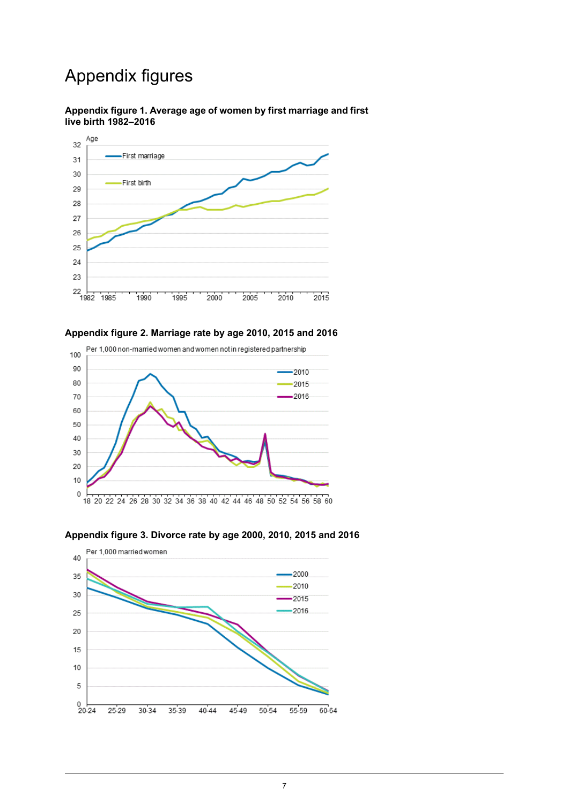## Appendix figures

#### <span id="page-6-0"></span>**Appendix figure 1. Average age of women by first marriage and first live birth 1982–2016**



#### <span id="page-6-1"></span>**Appendix figure 2. Marriage rate by age 2010, 2015 and 2016**



#### <span id="page-6-2"></span>**Appendix figure 3. Divorce rate by age 2000, 2010, 2015 and 2016**

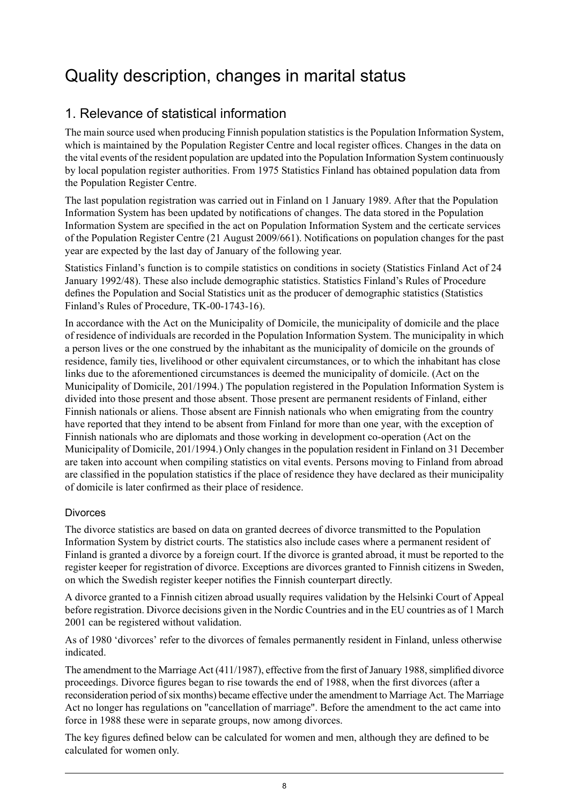## <span id="page-7-0"></span>Quality description, changes in marital status

## 1. Relevance of statistical information

The main source used when producing Finnish population statistics is the Population Information System, which is maintained by the Population Register Centre and local register offices. Changes in the data on the vital events of the resident population are updated into the Population Information System continuously by local population register authorities. From 1975 Statistics Finland has obtained population data from the Population Register Centre.

The last population registration was carried out in Finland on 1 January 1989. After that the Population Information System has been updated by notifications of changes. The data stored in the Population Information System are specified in the act on Population Information System and the certicate services of the Population Register Centre (21 August 2009/661). Notifications on population changes for the past year are expected by the last day of January of the following year.

Statistics Finland's function is to compile statistics on conditions in society (Statistics Finland Act of 24 January 1992/48). These also include demographic statistics. Statistics Finland's Rules of Procedure defines the Population and Social Statistics unit as the producer of demographic statistics (Statistics Finland's Rules of Procedure, TK-00-1743-16).

In accordance with the Act on the Municipality of Domicile, the municipality of domicile and the place of residence of individuals are recorded in the Population Information System. The municipality in which a person lives or the one construed by the inhabitant as the municipality of domicile on the grounds of residence, family ties, livelihood or other equivalent circumstances, or to which the inhabitant has close links due to the aforementioned circumstances is deemed the municipality of domicile. (Act on the Municipality of Domicile, 201/1994.) The population registered in the Population Information System is divided into those present and those absent. Those present are permanent residents of Finland, either Finnish nationals or aliens. Those absent are Finnish nationals who when emigrating from the country have reported that they intend to be absent from Finland for more than one year, with the exception of Finnish nationals who are diplomats and those working in development co-operation (Act on the Municipality of Domicile, 201/1994.) Only changes in the population resident in Finland on 31 December are taken into account when compiling statistics on vital events. Persons moving to Finland from abroad are classified in the population statistics if the place of residence they have declared as their municipality of domicile is later confirmed as their place of residence.

#### Divorces

The divorce statistics are based on data on granted decrees of divorce transmitted to the Population Information System by district courts. The statistics also include cases where a permanent resident of Finland is granted a divorce by a foreign court. If the divorce is granted abroad, it must be reported to the register keeper for registration of divorce. Exceptions are divorces granted to Finnish citizens in Sweden, on which the Swedish register keeper notifies the Finnish counterpart directly.

A divorce granted to a Finnish citizen abroad usually requires validation by the Helsinki Court of Appeal before registration. Divorce decisions given in the Nordic Countries and in the EU countries as of 1 March 2001 can be registered without validation.

As of 1980 'divorces' refer to the divorces of females permanently resident in Finland, unless otherwise indicated.

The amendment to the Marriage Act  $(411/1987)$ , effective from the first of January 1988, simplified divorce proceedings. Divorce figures began to rise towards the end of 1988, when the first divorces (after a reconsideration period of six months) became effective under the amendment to Marriage Act. The Marriage Act no longer has regulations on "cancellation of marriage". Before the amendment to the act came into force in 1988 these were in separate groups, now among divorces.

The key figures defined below can be calculated for women and men, although they are defined to be calculated for women only.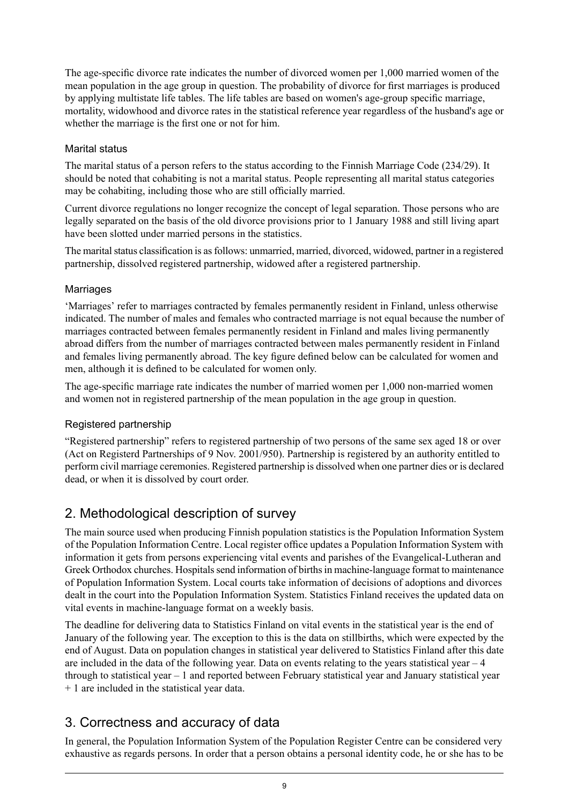The age-specific divorce rate indicates the number of divorced women per 1,000 married women of the mean population in the age group in question. The probability of divorce for first marriages is produced by applying multistate life tables. The life tables are based on women's age-group specific marriage, mortality, widowhood and divorce rates in the statistical reference year regardless of the husband's age or whether the marriage is the first one or not for him.

#### Marital status

The marital status of a person refers to the status according to the Finnish Marriage Code (234/29). It should be noted that cohabiting is not a marital status. People representing all marital status categories may be cohabiting, including those who are still officially married.

Current divorce regulations no longer recognize the concept of legal separation. Those persons who are legally separated on the basis of the old divorce provisions prior to 1 January 1988 and still living apart have been slotted under married persons in the statistics.

The marital status classification is as follows: unmarried, married, divorced, widowed, partner in a registered partnership, dissolved registered partnership, widowed after a registered partnership.

#### **Marriages**

'Marriages' refer to marriages contracted by females permanently resident in Finland, unless otherwise indicated. The number of males and females who contracted marriage is not equal because the number of marriages contracted between females permanently resident in Finland and males living permanently abroad differs from the number of marriages contracted between males permanently resident in Finland and females living permanently abroad. The key figure defined below can be calculated for women and men, although it is defined to be calculated for women only.

The age-specific marriage rate indicates the number of married women per 1,000 non-married women and women not in registered partnership of the mean population in the age group in question.

#### Registered partnership

"Registered partnership" refers to registered partnership of two persons of the same sex aged 18 or over (Act on Registerd Partnerships of 9 Nov. 2001/950). Partnership is registered by an authority entitled to perform civil marriage ceremonies. Registered partnership is dissolved when one partner dies or is declared dead, or when it is dissolved by court order.

## 2. Methodological description of survey

The main source used when producing Finnish population statistics is the Population Information System of the Population Information Centre. Local register office updates a Population Information System with information it gets from persons experiencing vital events and parishes of the Evangelical-Lutheran and Greek Orthodox churches. Hospitals send information of births in machine-language format to maintenance of Population Information System. Local courts take information of decisions of adoptions and divorces dealt in the court into the Population Information System. Statistics Finland receives the updated data on vital events in machine-language format on a weekly basis.

The deadline for delivering data to Statistics Finland on vital events in the statistical year is the end of January of the following year. The exception to this is the data on stillbirths, which were expected by the end of August. Data on population changes in statistical year delivered to Statistics Finland after this date are included in the data of the following year. Data on events relating to the years statistical year  $-4$ through to statistical year – 1 and reported between February statistical year and January statistical year + 1 are included in the statistical year data.

## 3. Correctness and accuracy of data

In general, the Population Information System of the Population Register Centre can be considered very exhaustive as regards persons. In order that a person obtains a personal identity code, he or she has to be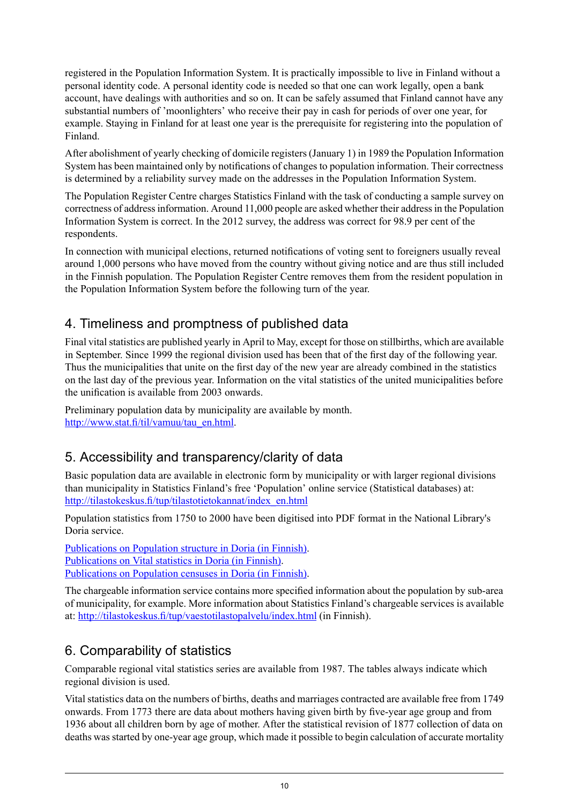registered in the Population Information System. It is practically impossible to live in Finland without a personal identity code. A personal identity code is needed so that one can work legally, open a bank account, have dealings with authorities and so on. It can be safely assumed that Finland cannot have any substantial numbers of 'moonlighters' who receive their pay in cash for periods of over one year, for example. Staying in Finland for at least one year is the prerequisite for registering into the population of Finland.

After abolishment of yearly checking of domicile registers (January 1) in 1989 the Population Information System has been maintained only by notifications of changes to population information. Their correctness is determined by a reliability survey made on the addresses in the Population Information System.

The Population Register Centre charges Statistics Finland with the task of conducting a sample survey on correctness of addressinformation. Around 11,000 people are asked whether their addressin the Population Information System is correct. In the 2012 survey, the address was correct for 98.9 per cent of the respondents.

In connection with municipal elections, returned notifications of voting sent to foreigners usually reveal around 1,000 persons who have moved from the country without giving notice and are thus still included in the Finnish population. The Population Register Centre removes them from the resident population in the Population Information System before the following turn of the year.

## 4. Timeliness and promptness of published data

Final vital statistics are published yearly in April to May, except for those on stillbirths, which are available in September. Since 1999 the regional division used has been that of the first day of the following year. Thus the municipalities that unite on the first day of the new year are already combined in the statistics on the last day of the previous year. Information on the vital statistics of the united municipalities before the unification is available from 2003 onwards.

Preliminary population data by municipality are available by month. [http://www.stat.fi/til/vamuu/tau\\_en.html.](http://www.stat.fi/til/vamuu/tau_en.html)

## 5. Accessibility and transparency/clarity of data

Basic population data are available in electronic form by municipality or with larger regional divisions than municipality in Statistics Finland's free 'Population' online service (Statistical databases) at: [http://tilastokeskus.fi/tup/tilastotietokannat/index\\_en.html](http://tilastokeskus.fi/tup/tilastotietokannat/index_en.html)

Population statistics from 1750 to 2000 have been digitised into PDF format in the National Library's Doria service.

[Publications](http://www.doria.fi/handle/10024/67162) on Population structure in Doria (in Finnish). [Publications](http://www.doria.fi/handle/10024/67161) on Vital statistics in Doria (in Finnish). [Publications](http://www.doria.fi/handle/10024/67160) on Population censuses in Doria (in Finnish).

The chargeable information service contains more specified information about the population by sub-area of municipality, for example. More information about Statistics Finland's chargeable services is available at: <http://tilastokeskus.fi/tup/vaestotilastopalvelu/index.html> (in Finnish).

## 6. Comparability of statistics

Comparable regional vital statistics series are available from 1987. The tables always indicate which regional division is used.

Vital statistics data on the numbers of births, deaths and marriages contracted are available free from 1749 onwards. From 1773 there are data about mothers having given birth by five-year age group and from 1936 about all children born by age of mother. After the statistical revision of 1877 collection of data on deaths was started by one-year age group, which made it possible to begin calculation of accurate mortality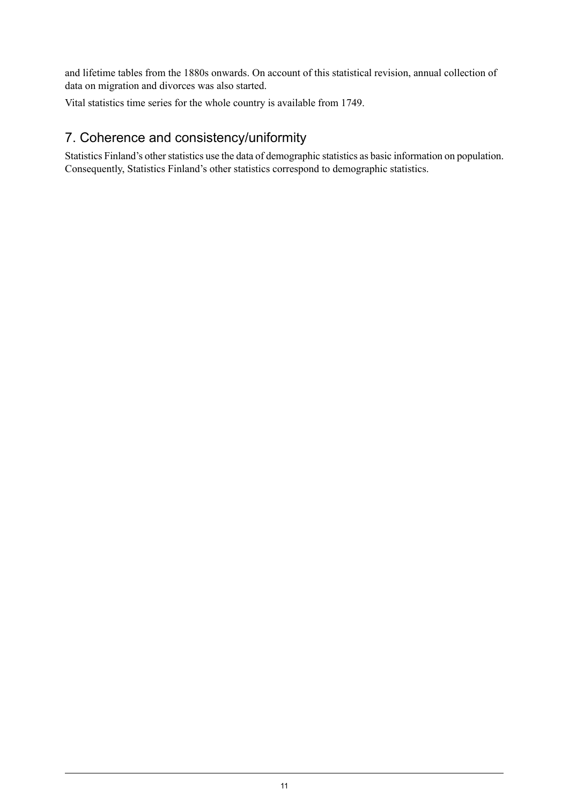and lifetime tables from the 1880s onwards. On account of this statistical revision, annual collection of data on migration and divorces was also started.

Vital statistics time series for the whole country is available from 1749.

## 7. Coherence and consistency/uniformity

Statistics Finland's other statistics use the data of demographic statistics as basic information on population. Consequently, Statistics Finland's other statistics correspond to demographic statistics.